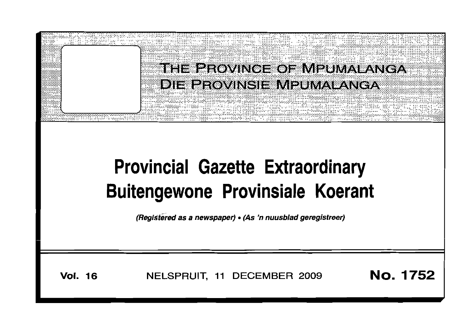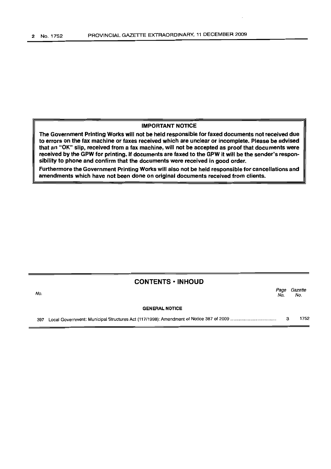#### IMPORTANT NOTICE

The Government Printing Works will not be held responsible for faxed documents not received due to errors on the fax machine or faxes received which are unclear or incomplete. Please be advised that an "OK" slip, received from a fax machine, will not be accepted as proof that documents were received by the GPW for printing. If documents are faxed to the GPW it will be the sender's responsibility to phone and confirm that the documents were received in good order.

Furthermore the Government Printing Works will also not be held responsible for cancellations and amendments which have not been done on original documents received from clients.

# CONTENTS· INHOUD

Page Gazette<br>No. No. No. No.

#### GENERAL NOTICE

397 Local Government: Municipal Structures Act (117/1998): Amendment of Notice 387 of 2009 . 3 1752

No.